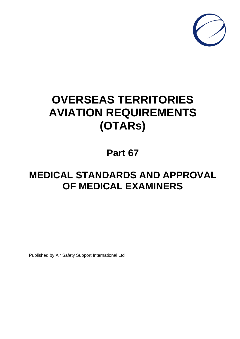

# **OVERSEAS TERRITORIES AVIATION REQUIREMENTS (OTARs)**

## **Part 67**

## **MEDICAL STANDARDS AND APPROVAL OF MEDICAL EXAMINERS**

Published by Air Safety Support International Ltd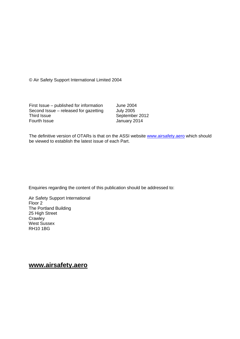© Air Safety Support International Limited 2004

First Issue – published for information June 2004<br>Second Issue – released for gazetting July 2005 Second Issue – released for gazetting<br>Third Issue Third Issue September 2012<br>
Fourth Issue September 2014

January 2014

The definitive version of OTARs is that on the ASSI website [www.airsafety.aero](http://www.airsafety.aero/) which should be viewed to establish the latest issue of each Part.

Enquiries regarding the content of this publication should be addressed to:

Air Safety Support International Floor 2 [The Portland Building](http://www.airsafety.aero/) 25 High Street **Crawley** West Sussex RH10 1BG

## **www.airsafety.aero**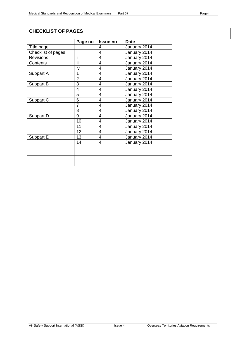#### <span id="page-2-0"></span>**CHECKLIST OF PAGES**

|                    | Page no        | <b>Issue no</b> | <b>Date</b>  |
|--------------------|----------------|-----------------|--------------|
| Title page         |                | 4               | January 2014 |
| Checklist of pages | i              | 4               | January 2014 |
| <b>Revisions</b>   | ΪÏ             | 4               | January 2014 |
| Contents           | iij            | $\overline{4}$  | January 2014 |
|                    | iv             | $\overline{4}$  | January 2014 |
| Subpart A          | 1              | $\overline{4}$  | January 2014 |
|                    | $\overline{2}$ | 4               | January 2014 |
| Subpart B          | 3              | 4               | January 2014 |
|                    | 4              | 4               | January 2014 |
|                    | 5              | 4               | January 2014 |
| Subpart C          | 6              | 4               | January 2014 |
|                    | $\overline{7}$ | 4               | January 2014 |
|                    | 8              | $\overline{4}$  | January 2014 |
| Subpart D          | 9              | 4               | January 2014 |
|                    | 10             | $\overline{4}$  | January 2014 |
|                    | 11             | 4               | January 2014 |
|                    | 12             | 4               | January 2014 |
| Subpart E          | 13             | $\overline{4}$  | January 2014 |
|                    | 14             | 4               | January 2014 |
|                    |                |                 |              |
|                    |                |                 |              |
|                    |                |                 |              |
|                    |                |                 |              |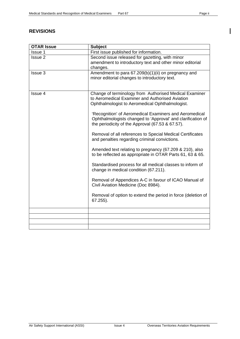#### <span id="page-3-0"></span>**REVISIONS**

| <b>OTAR Issue</b> | <b>Subject</b>                                                                                                  |  |  |  |  |
|-------------------|-----------------------------------------------------------------------------------------------------------------|--|--|--|--|
| Issue 1           | First issue published for information.                                                                          |  |  |  |  |
| Issue 2           | Second issue released for gazetting, with minor                                                                 |  |  |  |  |
|                   | amendment to introductory text and other minor editorial                                                        |  |  |  |  |
|                   | changes.                                                                                                        |  |  |  |  |
| Issue 3           | Amendment to para 67.209(b)(1)(ii) on pregnancy and                                                             |  |  |  |  |
|                   | minor editorial changes to introductory text.                                                                   |  |  |  |  |
|                   |                                                                                                                 |  |  |  |  |
| Issue 4           | Change of terminology from Authorised Medical Examiner                                                          |  |  |  |  |
|                   | to Aeromedical Examiner and Authorised Aviation                                                                 |  |  |  |  |
|                   | Ophthalmologist to Aeromedical Ophthalmologist.                                                                 |  |  |  |  |
|                   |                                                                                                                 |  |  |  |  |
|                   | 'Recognition' of Aeromedical Examiners and Aeromedical                                                          |  |  |  |  |
|                   | Ophthalmologists changed to 'Approval' and clarification of<br>the periodicity of the Approval (67.53 & 67.57). |  |  |  |  |
|                   |                                                                                                                 |  |  |  |  |
|                   | Removal of all references to Special Medical Certificates                                                       |  |  |  |  |
|                   | and penalties regarding criminal convictions.                                                                   |  |  |  |  |
|                   | Amended text relating to pregnancy (67.209 & 210), also                                                         |  |  |  |  |
|                   | to be reflected as appropriate in OTAR Parts 61, 63 & 65.                                                       |  |  |  |  |
|                   |                                                                                                                 |  |  |  |  |
|                   | Standardised process for all medical classes to inform of                                                       |  |  |  |  |
|                   | change in medical condition (67.211).                                                                           |  |  |  |  |
|                   |                                                                                                                 |  |  |  |  |
|                   | Removal of Appendices A-C in favour of ICAO Manual of<br>Civil Aviation Medicine (Doc 8984).                    |  |  |  |  |
|                   |                                                                                                                 |  |  |  |  |
|                   | Removal of option to extend the period in force (deletion of                                                    |  |  |  |  |
|                   | 67.255).                                                                                                        |  |  |  |  |
|                   |                                                                                                                 |  |  |  |  |
|                   |                                                                                                                 |  |  |  |  |
|                   |                                                                                                                 |  |  |  |  |
|                   |                                                                                                                 |  |  |  |  |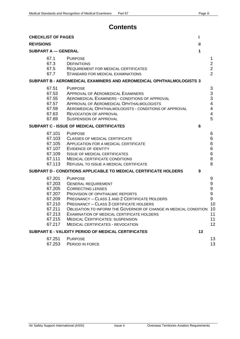### **Contents**

| <b>CHECKLIST OF PAGES</b>                        |                                                                                                  |                                                                                                                                                                                                                                                                                                                                                                                                                  | i.  |                                                                                                  |
|--------------------------------------------------|--------------------------------------------------------------------------------------------------|------------------------------------------------------------------------------------------------------------------------------------------------------------------------------------------------------------------------------------------------------------------------------------------------------------------------------------------------------------------------------------------------------------------|-----|--------------------------------------------------------------------------------------------------|
| <b>REVISIONS</b>                                 |                                                                                                  |                                                                                                                                                                                                                                                                                                                                                                                                                  | ii. |                                                                                                  |
| <b>SUBPART A - GENERAL</b>                       |                                                                                                  |                                                                                                                                                                                                                                                                                                                                                                                                                  | 1   |                                                                                                  |
|                                                  | 67.1<br>67.3<br>67.5<br>67.7                                                                     | <b>PURPOSE</b><br><b>DEFINITIONS</b><br>REQUIREMENT FOR MEDICAL CERTIFICATES<br>STANDARD FOR MEDICAL EXAMINATIONS                                                                                                                                                                                                                                                                                                |     | 1<br>$\overline{2}$<br>$\overline{2}$<br>$\overline{2}$                                          |
|                                                  |                                                                                                  | SUBPART B - AEROMEDICAL EXAMINERS AND AEROMEDICAL OPHTHALMOLOGISTS 3                                                                                                                                                                                                                                                                                                                                             |     |                                                                                                  |
|                                                  | 67.51<br>67.53<br>67.55<br>67.57<br>67.59<br>67.63<br>67.69                                      | <b>PURPOSE</b><br><b>APPROVAL OF AEROMEDICAL EXAMINERS</b><br>AEROMEDICAL EXAMINERS - CONDITIONS OF APPROVAL<br>APPROVAL OF AEROMEDICAL OPHTHALMOLOGISTS<br>AEROMEDICAL OPHTHALMOLOGISTS - CONDITIONS OF APPROVAL<br><b>REVOCATION OF APPROVAL</b><br><b>SUSPENSION OF APPROVAL</b>                                                                                                                              |     | 3<br>3<br>3<br>$\overline{4}$<br>$\overline{\mathbf{4}}$<br>$\overline{\mathbf{4}}$<br>5         |
| <b>SUBPART C - ISSUE OF MEDICAL CERTIFICATES</b> |                                                                                                  |                                                                                                                                                                                                                                                                                                                                                                                                                  | 6   |                                                                                                  |
|                                                  | 67.101<br>67.103<br>67.105<br>67.107<br>67.109<br>67.111<br>67.113                               | <b>PURPOSE</b><br><b>CLASSES OF MEDICAL CERTIFICATE</b><br>APPLICATION FOR A MEDICAL CERTIFICATE<br>EVIDENCE OF IDENTITY<br><b>ISSUE OF MEDICAL CERTIFICATES</b><br>MEDICAL CERTIFICATE CONDITIONS<br>REFUSAL TO ISSUE A MEDICAL CERTIFICATE                                                                                                                                                                     |     | 6<br>6<br>6<br>6<br>6<br>8<br>8                                                                  |
|                                                  |                                                                                                  | SUBPART D - CONDITIONS APPLICABLE TO MEDICAL CERTIFICATE HOLDERS                                                                                                                                                                                                                                                                                                                                                 | 9   |                                                                                                  |
|                                                  | 67.201<br>67.203<br>67.205<br>67.207<br>67.209<br>67.210<br>67.211<br>67.213<br>67.215<br>67.217 | <b>PURPOSE</b><br><b>GENERAL REQUIREMENT</b><br><b>CORRECTING LENSES</b><br>PROVISION OF OPHTHALMIC REPORTS<br>PREGNANCY - CLASS 1 AND 2 CERTIFICATE HOLDERS<br><b>PREGNANCY - CLASS 3 CERTIFICATE HOLDERS</b><br>OBLIGATION TO INFORM THE GOVERNOR OF CHANGE IN MEDICAL CONDITION<br>EXAMINATION OF MEDICAL CERTIFICATE HOLDERS<br><b>MEDICAL CERTIFICATES: SUSPENSION</b><br>MEDICAL CERTIFICATES - REVOCATION |     | 9<br>$\boldsymbol{9}$<br>$\boldsymbol{9}$<br>$\boldsymbol{9}$<br>9<br>10<br>10<br>11<br>11<br>12 |
|                                                  | SUBPART E - VALIDITY PERIOD OF MEDICAL CERTIFICATES<br>13                                        |                                                                                                                                                                                                                                                                                                                                                                                                                  |     |                                                                                                  |
|                                                  | 67.251<br>67.253                                                                                 | <b>PURPOSE</b><br>PERIOD IN FORCE                                                                                                                                                                                                                                                                                                                                                                                |     | 13<br>13                                                                                         |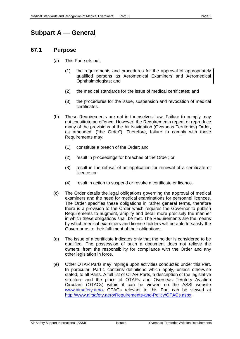## <span id="page-5-0"></span>**Subpart A — General**

#### <span id="page-5-1"></span>**67.1 Purpose**

- (a) This Part sets out:
	- (1) the requirements and procedures for the approval of appropriately qualified persons as Aeromedical Examiners and Aeromedical Ophthalmologists; and
	- (2) the medical standards for the issue of medical certificates; and
	- (3) the procedures for the issue, suspension and revocation of medical certificates.
- (b) These Requirements are not in themselves Law. Failure to comply may not constitute an offence. However, the Requirements repeat or reproduce many of the provisions of the Air Navigation (Overseas Territories) Order, as amended, ("the Order"). Therefore, failure to comply with these Requirements may:
	- (1) constitute a breach of the Order; and
	- (2) result in proceedings for breaches of the Order; or
	- (3) result in the refusal of an application for renewal of a certificate or licence; or
	- (4) result in action to suspend or revoke a certificate or licence.
- (c) The Order details the legal obligations governing the approval of medical examiners and the need for medical examinations for personnel licences. The Order specifies these obligations in rather general terms, therefore there is a provision to the Order which requires the Governor to publish Requirements to augment, amplify and detail more precisely the manner in which these obligations shall be met. The Requirements are the means by which medical examiners and licence holders will be able to satisfy the Governor as to their fulfilment of their obligations.
- (d) The issue of a certificate indicates only that the holder is considered to be qualified. The possession of such a document does not relieve the owners, from the responsibility for compliance with the Order and any other legislation in force.
- (e) Other OTAR Parts may impinge upon activities conducted under this Part. In particular, Part 1 contains definitions which apply, unless otherwise stated, to all Parts. A full list of OTAR Parts, a description of the legislative structure and the place of OTARs and Overseas Territory Aviation Circulars (OTACs) within it can be viewed on the ASSI website [www.airsafety.aero.](http://www.airsafety.aero/) OTACs relevant to this Part can be viewed at [http://www.airsafety.aero/Requirements-and-Policy/OTACs.aspx.](http://www.airsafety.aero/Requirements-and-Policy/OTACs.aspx)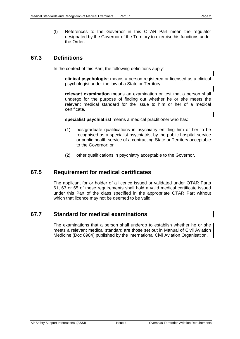(f) References to the Governor in this OTAR Part mean the regulator designated by the Governor of the Territory to exercise his functions under the Order.

#### <span id="page-6-0"></span>**67.3 Definitions**

In the context of this Part, the following definitions apply:

**clinical psychologist** means a person registered or licensed as a clinical psychologist under the law of a State or Territory.

**relevant examination** means an examination or test that a person shall undergo for the purpose of finding out whether he or she meets the relevant medical standard for the issue to him or her of a medical certificate.

**specialist psychiatrist** means a medical practitioner who has:

- (1) postgraduate qualifications in psychiatry entitling him or her to be recognised as a specialist psychiatrist by the public hospital service or public health service of a contracting State or Territory acceptable to the Governor; or
- (2) other qualifications in psychiatry acceptable to the Governor.

#### <span id="page-6-1"></span>**67.5 Requirement for medical certificates**

The applicant for or holder of a licence issued or validated under OTAR Parts 61, 63 or 65 of these requirements shall hold a valid medical certificate issued under this Part of the class specified in the appropriate OTAR Part without which that licence may not be deemed to be valid.

#### <span id="page-6-2"></span>**67.7 Standard for medical examinations**

The examinations that a person shall undergo to establish whether he or she meets a relevant medical standard are those set out in Manual of Civil Aviation Medicine (Doc 8984) published by the International Civil Aviation Organisation.

ı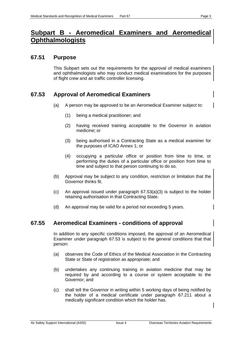## <span id="page-7-0"></span>**Subpart B - Aeromedical Examiners and Aeromedic Ophthalmologists**

#### <span id="page-7-1"></span>**67.51 Purpose**

This Subpart sets out the requirements for the approval of medical examiners and ophthalmologists who may conduct medical examinations for the purposes of flight crew and air traffic controller licensing.

#### <span id="page-7-2"></span>**67.53 Approval of Aeromedical Examiners**

- (a) A person may be approved to be an Aeromedical Examiner subject to:
	- (1) being a medical practitioner; and
	- (2) having received training acceptable to the Governor in aviation medicine; or
	- (3) being authorised in a Contracting State as a medical examiner for the purposes of ICAO Annex 1; or
	- (4) occupying a particular office or position from time to time, or performing the duties of a particular office or position from time to time and subject to that person continuing to do so.
- (b) Approval may be subject to any condition, restriction or limitation that the Governor thinks fit.
- (c) An approval issued under paragraph  $67.53(a)(3)$  is subject to the holder retaining authorisation in that Contracting State.
- (d) An approval may be valid for a period not exceeding 5 years.

#### <span id="page-7-3"></span>**67.55 Aeromedical Examiners - conditions of approval**

In addition to any specific conditions imposed, the approval of an Aeromedical Examiner under paragraph 67.53 is subject to the general conditions that that person:

- (a) observes the Code of Ethics of the Medical Association in the Contracting State or State of registration as appropriate; and
- (b) undertakes any continuing training in aviation medicine that may be required by and according to a course or system acceptable to the Governor; and
- (c) shall tell the Governor in writing within 5 working days of being notified by the holder of a medical certificate under paragraph 67.211 about a medically significant condition which the holder has.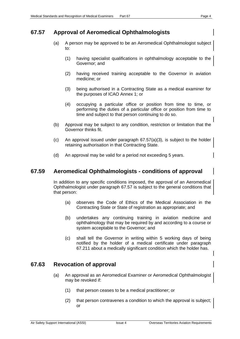#### <span id="page-8-0"></span>**67.57 Approval of Aeromedical Ophthalmologists**

- (a) A person may be approved to be an Aeromedical Ophthalmologist subject to:
	- (1) having specialist qualifications in ophthalmology acceptable to the Governor; and
	- (2) having received training acceptable to the Governor in aviation medicine; or
	- (3) being authorised in a Contracting State as a medical examiner for the purposes of ICAO Annex 1; or
	- (4) occupying a particular office or position from time to time, or performing the duties of a particular office or position from time to time and subject to that person continuing to do so.
- (b) Approval may be subject to any condition, restriction or limitation that the Governor thinks fit.
- (c) An approval issued under paragraph  $67.57(a)(3)$ , is subject to the holder retaining authorisation in that Contracting State.
- (d) An approval may be valid for a period not exceeding 5 years.

#### <span id="page-8-1"></span>**67.59 Aeromedical Ophthalmologists - conditions of approval**

In addition to any specific conditions imposed, the approval of an Aeromedical Ophthalmologist under paragraph 67.57 is subject to the general conditions that that person:

- (a) observes the Code of Ethics of the Medical Association in the Contracting State or State of registration as appropriate; and
- (b) undertakes any continuing training in aviation medicine and ophthalmology that may be required by and according to a course or system acceptable to the Governor; and
- (c) shall tell the Governor in writing within 5 working days of being notified by the holder of a medical certificate under paragraph 67.211 about a medically significant condition which the holder has.

#### <span id="page-8-2"></span>**67.63 Revocation of approval**

- (a) An approval as an Aeromedical Examiner or Aeromedical Ophthalmologist may be revoked if:
	- (1) that person ceases to be a medical practitioner; or
	- (2) that person contravenes a condition to which the approval is subject; or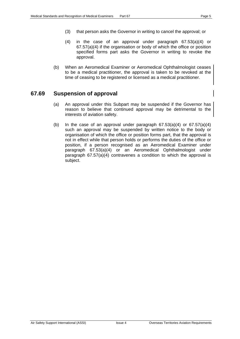- (3) that person asks the Governor in writing to cancel the approval; or
- (4) in the case of an approval under paragraph 67.53(a)(4) or 67.57(a)(4) if the organisation or body of which the office or position specified forms part asks the Governor in writing to revoke the approval.
- (b) When an Aeromedical Examiner or Aeromedical Ophthalmologist ceases to be a medical practitioner, the approval is taken to be revoked at the time of ceasing to be registered or licensed as a medical practitioner.

#### <span id="page-9-0"></span>**67.69 Suspension of approval**

- (a) An approval under this Subpart may be suspended if the Governor has reason to believe that continued approval may be detrimental to the interests of aviation safety.
- (b) In the case of an approval under paragraph  $67.53(a)(4)$  or  $67.57(a)(4)$ such an approval may be suspended by written notice to the body or organisation of which the office or position forms part, that the approval is not in effect while that person holds or performs the duties of the office or position, if a person recognised as an Aeromedical Examiner under paragraph 67.53(a)(4) or an Aeromedical Ophthalmologist under paragraph 67.57(a)(4) contravenes a condition to which the approval is subject.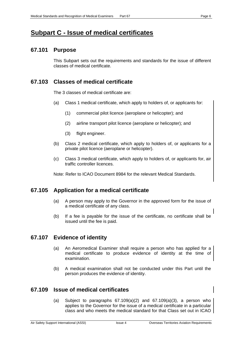## <span id="page-10-0"></span>**Subpart C - Issue of medical certificates**

#### <span id="page-10-1"></span>**67.101 Purpose**

This Subpart sets out the requirements and standards for the issue of different classes of medical certificate.

#### <span id="page-10-2"></span>**67.103 Classes of medical certificate**

The 3 classes of medical certificate are:

- (a) Class 1 medical certificate, which apply to holders of, or applicants for:
	- (1) commercial pilot licence (aeroplane or helicopter); and
	- (2) airline transport pilot licence (aeroplane or helicopter); and
	- (3) flight engineer.
- (b) Class 2 medical certificate, which apply to holders of, or applicants for a private pilot licence (aeroplane or helicopter).
- (c) Class 3 medical certificate, which apply to holders of, or applicants for, air traffic controller licences.

Note: Refer to ICAO Document 8984 for the relevant Medical Standards.

#### <span id="page-10-3"></span>**67.105 Application for a medical certificate**

- (a) A person may apply to the Governor in the approved form for the issue of a medical certificate of any class.
- (b) If a fee is payable for the issue of the certificate, no certificate shall be issued until the fee is paid.

#### <span id="page-10-4"></span>**67.107 Evidence of identity**

- (a) An Aeromedical Examiner shall require a person who has applied for a medical certificate to produce evidence of identity at the time of examination.
- (b) A medical examination shall not be conducted under this Part until the person produces the evidence of identity.

#### <span id="page-10-5"></span>**67.109 Issue of medical certificates**

(a) Subject to paragraphs  $67.109(a)(2)$  and  $67.109(a)(3)$ , a person who applies to the Governor for the issue of a medical certificate in a particular class and who meets the medical standard for that Class set out in ICAO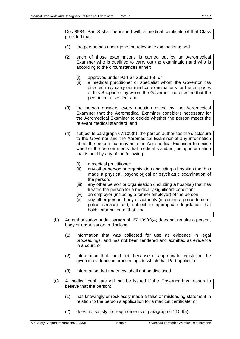Doc 8984, Part 3 shall be issued with a medical certificate of that Class provided that:

- (1) the person has undergone the relevant examinations; and
- (2) each of those examinations is carried out by an Aeromedical Examiner who is qualified to carry out the examination and who is according to the circumstances either:
	- (i) approved under Part 67 Subpart B; or
	- (ii) a medical practitioner or specialist whom the Governor has directed may carry out medical examinations for the purposes of this Subpart or by whom the Governor has directed that the person be assessed; and
- (3) the person answers every question asked by the Aeromedical Examiner that the Aeromedical Examiner considers necessary for the Aeromedical Examiner to decide whether the person meets the relevant medical standard; and
- (4) subject to paragraph 67.109(b), the person authorises the disclosure to the Governor and the Aeromedical Examiner of any information about the person that may help the Aeromedical Examiner to decide whether the person meets that medical standard, being information that is held by any of the following:
	- (i) a medical practitioner;
	- (ii) any other person or organisation (including a hospital) that has made a physical, psychological or psychiatric examination of the person;
	- (iii) any other person or organisation (including a hospital) that has treated the person for a medically significant condition;
	- (iv) an employer (including a former employer) of the person;
	- (v) any other person, body or authority (including a police force or police service) and, subject to appropriate legislation that holds information of that kind.
- (b) An authorisation under paragraph 67.109(a)(4) does not require a person, body or organisation to disclose:
	- (1) information that was collected for use as evidence in legal proceedings, and has not been tendered and admitted as evidence in a court; or
	- (2) information that could not, because of appropriate legislation, be given in evidence in proceedings to which that Part applies; or
	- (3) information that under law shall not be disclosed.
- (c) A medical certificate will not be issued if the Governor has reason to believe that the person:
	- (1) has knowingly or recklessly made a false or misleading statement in relation to the person's application for a medical certificate; or
	- (2) does not satisfy the requirements of paragraph 67.109(a).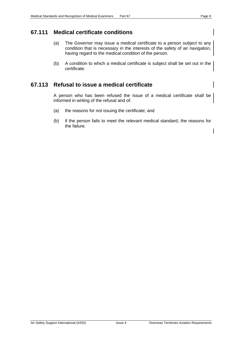- <span id="page-12-0"></span>(a) The Governor may issue a medical certificate to a person subject to any condition that is necessary in the interests of the safety of air navigation, having regard to the medical condition of the person.
- (b) A condition to which a medical certificate is subject shall be set out in the certificate.

#### <span id="page-12-1"></span>**67.113 Refusal to issue a medical certificate**

A person who has been refused the issue of a medical certificate shall be informed in writing of the refusal and of:

- (a) the reasons for not issuing the certificate; and
- (b) if the person fails to meet the relevant medical standard, the reasons for the failure. $\mathsf I$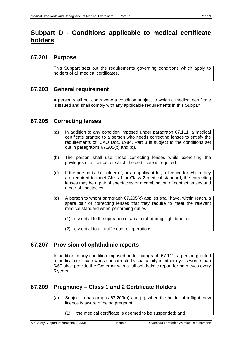## <span id="page-13-0"></span>**Subpart D - Conditions applicable to medical certificate holders**

#### <span id="page-13-1"></span>**67.201 Purpose**

This Subpart sets out the requirements governing conditions which apply to holders of all medical certificates.

#### <span id="page-13-2"></span>**67.203 General requirement**

A person shall not contravene a condition subject to which a medical certificate is issued and shall comply with any applicable requirements in this Subpart.

#### <span id="page-13-3"></span>**67.205 Correcting lenses**

- (a) In addition to any condition imposed under paragraph 67.111, a medical certificate granted to a person who needs correcting lenses to satisfy the requirements of ICAO Doc. 8984, Part 3 is subject to the conditions set out in paragraphs 67.205(b) and (d).
- (b) The person shall use those correcting lenses while exercising the privileges of a licence for which the certificate is required.
- (c) If the person is the holder of, or an applicant for, a licence for which they are required to meet Class 1 or Class 2 medical standard, the correcting lenses may be a pair of spectacles or a combination of contact lenses and a pair of spectacles.
- (d) A person to whom paragraph 67.205(c) applies shall have, within reach, a spare pair of correcting lenses that they require to meet the relevant medical standard when performing duties
	- (1) essential to the operation of an aircraft during flight time; or
	- (2) essential to air traffic control operations.

#### <span id="page-13-4"></span>**67.207 Provision of ophthalmic reports**

In addition to any condition imposed under paragraph 67.111, a person granted a medical certificate whose uncorrected visual acuity in either eye is worse than 6/60 shall provide the Governor with a full ophthalmic report for both eyes every 5 years.

#### <span id="page-13-5"></span>**67.209 Pregnancy – Class 1 and 2 Certificate Holders**

- (a) Subject to paragraphs 67.209(b) and (c), when the holder of a flight crew licence is aware of being pregnant:
	- (1) the medical certificate is deemed to be suspended; and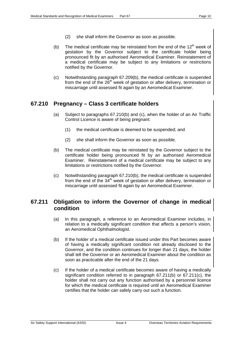- (2) she shall inform the Governor as soon as possible.
- (b) The medical certificate may be reinstated from the end of the  $12<sup>th</sup>$  week of gestation by the Governor subject to the certificate holder being pronounced fit by an authorised Aeromedical Examiner. Reinstatement of a medical certificate may be subject to any limitations or restrictions notified by the Governor.
- (c) Notwithstanding paragraph 67.209(b), the medical certificate is suspended from the end of the 26<sup>th</sup> week of gestation or after delivery, termination or miscarriage until assessed fit again by an Aeromedical Examiner.

#### <span id="page-14-0"></span>**67.210 Pregnancy – Class 3 certificate holders**

- (a) Subject to paragraphs 67.210(b) and (c), when the holder of an Air Traffic Control Licence is aware of being pregnant:
	- (1) the medical certificate is deemed to be suspended; and
	- (2) she shall inform the Governor as soon as possible.
- (b) The medical certificate may be reinstated by the Governor subject to the certificate holder being pronounced fit by an authorised Aeromedical Examiner. Reinstatement of a medical certificate may be subject to any limitations or restrictions notified by the Governor.
- (c) Notwithstanding paragraph 67.210(b), the medical certificate is suspended from the end of the  $34<sup>th</sup>$  week of gestation or after delivery, termination or miscarriage until assessed fit again by an Aeromedical Examiner.

#### <span id="page-14-1"></span>**67.211 Obligation to inform the Governor of change in medical condition**

- (a) In this paragraph, a reference to an Aeromedical Examiner includes, in relation to a medically significant condition that affects a person's vision, an Aeromedical Ophthalmologist.
- (b) If the holder of a medical certificate issued under this Part becomes aware of having a medically significant condition not already disclosed to the Governor, and the condition continues for longer than 21 days, the holder shall tell the Governor or an Aeromedical Examiner about the condition as soon as practicable after the end of the 21 days.
- (c) If the holder of a medical certificate becomes aware of having a medically significant condition referred to in paragraph 67.211(b) or 67.211(c), the holder shall not carry out any function authorised by a personnel licence for which the medical certificate is required until an Aeromedical Examiner certifies that the holder can safely carry out such a function.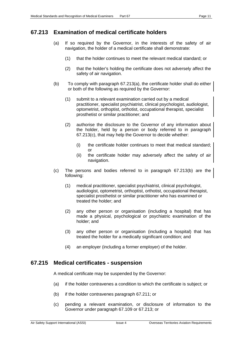#### <span id="page-15-0"></span>**67.213 Examination of medical certificate holders**

- (a) If so required by the Governor, in the interests of the safety of air navigation, the holder of a medical certificate shall demonstrate:
	- (1) that the holder continues to meet the relevant medical standard; or
	- (2) that the holder's holding the certificate does not adversely affect the safety of air navigation.
- (b) To comply with paragraph 67.213(a), the certificate holder shall do either or both of the following as required by the Governor:
	- (1) submit to a relevant examination carried out by a medical practitioner, specialist psychiatrist, clinical psychologist, audiologist, optometrist, orthoptist, orthotist, occupational therapist, specialist prosthetist or similar practitioner; and
	- (2) authorise the disclosure to the Governor of any information about the holder, held by a person or body referred to in paragraph 67.213(c), that may help the Governor to decide whether:
		- (i) the certificate holder continues to meet that medical standard; or
		- (ii) the certificate holder may adversely affect the safety of air navigation.
- (c) The persons and bodies referred to in paragraph 67.213(b) are the following:
	- (1) medical practitioner, specialist psychiatrist, clinical psychologist, audiologist, optometrist, orthoptist, orthotist, occupational therapist, specialist prosthetist or similar practitioner who has examined or treated the holder; and
	- (2) any other person or organisation (including a hospital) that has made a physical, psychological or psychiatric examination of the holder; and
	- (3) any other person or organisation (including a hospital) that has treated the holder for a medically significant condition; and
	- (4) an employer (including a former employer) of the holder.

#### <span id="page-15-1"></span>**67.215 Medical certificates - suspension**

A medical certificate may be suspended by the Governor:

- (a) if the holder contravenes a condition to which the certificate is subject; or
- (b) if the holder contravenes paragraph 67.211; or
- (c) pending a relevant examination, or disclosure of information to the Governor under paragraph 67.109 or 67.213; or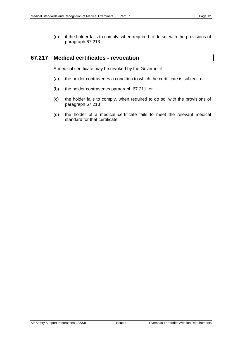$\overline{\phantom{a}}$ 

(d) if the holder fails to comply, when required to do so, with the provisions of paragraph 67.213.

#### <span id="page-16-0"></span>**67.217 Medical certificates - revocation**

A medical certificate may be revoked by the Governor if:

- (a) the holder contravenes a condition to which the certificate is subject; or
- (b) the holder contravenes paragraph 67.211; or
- (c) the holder fails to comply, when required to do so, with the provisions of paragraph 67.213
- (d) the holder of a medical certificate fails to meet the relevant medical standard for that certificate.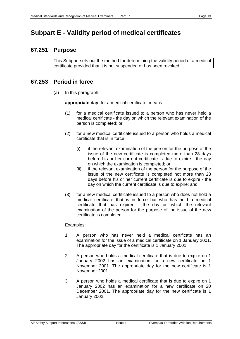## <span id="page-17-0"></span>**Subpart E - Validity period of medical certificates**

#### <span id="page-17-1"></span>**67.251 Purpose**

This Subpart sets out the method for determining the validity period of a medical certificate provided that it is not suspended or has been revoked.

#### <span id="page-17-2"></span>**67.253 Period in force**

(a) In this paragraph:

**appropriate day**, for a medical certificate, means:

- (1) for a medical certificate issued to a person who has never held a medical certificate - the day on which the relevant examination of the person is completed; or
- (2) for a new medical certificate issued to a person who holds a medical certificate that is in force:
	- (i) if the relevant examination of the person for the purpose of the issue of the new certificate is completed more than 28 days before his or her current certificate is due to expire - the day on which the examination is completed; or
	- (ii) if the relevant examination of the person for the purpose of the issue of the new certificate is completed not more than 28 days before his or her current certificate is due to expire - the day on which the current certificate is due to expire; and
- (3) for a new medical certificate issued to a person who does not hold a medical certificate that is in force but who has held a medical certificate that has expired - the day on which the relevant examination of the person for the purpose of the issue of the new certificate is completed.

#### Examples:

- 1. A person who has never held a medical certificate has an examination for the issue of a medical certificate on 1 January 2001. The appropriate day for the certificate is 1 January 2001.
- 2. A person who holds a medical certificate that is due to expire on 1 January 2002 has an examination for a new certificate on 1 November 2001. The appropriate day for the new certificate is 1 November 2001.
- 3. A person who holds a medical certificate that is due to expire on 1 January 2002 has an examination for a new certificate on 20 December 2001. The appropriate day for the new certificate is 1 January 2002.